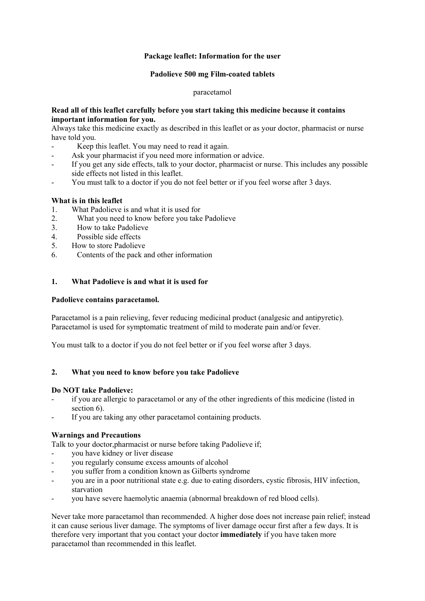## **Package leaflet: Information for the user**

## **Padolieve 500 mg Film-coated tablets**

### paracetamol

## **Read all of this leaflet carefully before you start taking this medicine because it contains important information for you.**

Always take this medicine exactly as described in this leaflet or as your doctor, pharmacist or nurse have told you.

- Keep this leaflet. You may need to read it again.
- Ask your pharmacist if you need more information or advice.
- If you get any side effects, talk to your doctor, pharmacist or nurse. This includes any possible side effects not listed in this leaflet.
- You must talk to a doctor if you do not feel better or if you feel worse after 3 days.

## **What is in this leaflet**

- 1. What Padolieve is and what it is used for
- 2. What you need to know before you take Padolieve
- 3. How to take Padolieve
- 4. Possible side effects
- 5. How to store Padolieve
- 6. Contents of the pack and other information

## **1. What Padolieve is and what it is used for**

## **Padolieve contains paracetamol.**

Paracetamol is a pain relieving, fever reducing medicinal product (analgesic and antipyretic). Paracetamol is used for symptomatic treatment of mild to moderate pain and/or fever.

You must talk to a doctor if you do not feel better or if you feel worse after 3 days.

# **2. What you need to know before you take Padolieve**

## **Do NOT take Padolieve:**

- if you are allergic to paracetamol or any of the other ingredients of this medicine (listed in section 6).
- If you are taking any other paracetamol containing products.

## **Warnings and Precautions**

Talk to your doctor,pharmacist or nurse before taking Padolieve if;

- you have kidney or liver disease
- you regularly consume excess amounts of alcohol
- you suffer from a condition known as Gilberts syndrome
- you are in a poor nutritional state e.g. due to eating disorders, cystic fibrosis, HIV infection, starvation
- you have severe haemolytic anaemia (abnormal breakdown of red blood cells).

Never take more paracetamol than recommended. A higher dose does not increase pain relief; instead it can cause serious liver damage. The symptoms of liver damage occur first after a few days. It is therefore very important that you contact your doctor **immediately** if you have taken more paracetamol than recommended in this leaflet.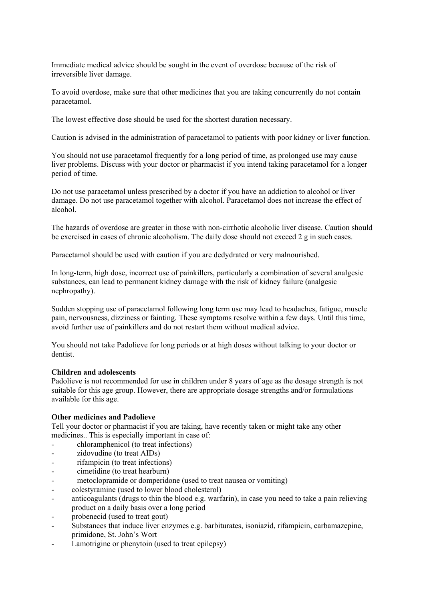Immediate medical advice should be sought in the event of overdose because of the risk of irreversible liver damage.

To avoid overdose, make sure that other medicines that you are taking concurrently do not contain paracetamol.

The lowest effective dose should be used for the shortest duration necessary.

Caution is advised in the administration of paracetamol to patients with poor kidney or liver function.

You should not use paracetamol frequently for a long period of time, as prolonged use may cause liver problems. Discuss with your doctor or pharmacist if you intend taking paracetamol for a longer period of time.

Do not use paracetamol unless prescribed by a doctor if you have an addiction to alcohol or liver damage. Do not use paracetamol together with alcohol. Paracetamol does not increase the effect of alcohol.

The hazards of overdose are greater in those with non-cirrhotic alcoholic liver disease. Caution should be exercised in cases of chronic alcoholism. The daily dose should not exceed 2 g in such cases.

Paracetamol should be used with caution if you are dedydrated or very malnourished.

In long-term, high dose, incorrect use of painkillers, particularly a combination of several analgesic substances, can lead to permanent kidney damage with the risk of kidney failure (analgesic nephropathy).

Sudden stopping use of paracetamol following long term use may lead to headaches, fatigue, muscle pain, nervousness, dizziness or fainting. These symptoms resolve within a few days. Until this time, avoid further use of painkillers and do not restart them without medical advice.

You should not take Padolieve for long periods or at high doses without talking to your doctor or dentist.

### **Children and adolescents**

Padolieve is not recommended for use in children under 8 years of age as the dosage strength is not suitable for this age group. However, there are appropriate dosage strengths and/or formulations available for this age.

## **Other medicines and Padolieve**

Tell your doctor or pharmacist if you are taking, have recently taken or might take any other medicines.. This is especially important in case of:

- chloramphenicol (to treat infections)
- zidovudine (to treat AIDs)
- rifampicin (to treat infections)
- cimetidine (to treat hearburn)
- metoclopramide or domperidone (used to treat nausea or vomiting)
- colestyramine (used to lower blood cholesterol)
- anticoagulants (drugs to thin the blood e.g. warfarin), in case you need to take a pain relieving product on a daily basis over a long period
- probenecid (used to treat gout)
- Substances that induce liver enzymes e.g. barbiturates, isoniazid, rifampicin, carbamazepine, primidone, St. John's Wort
- Lamotrigine or phenytoin (used to treat epilepsy)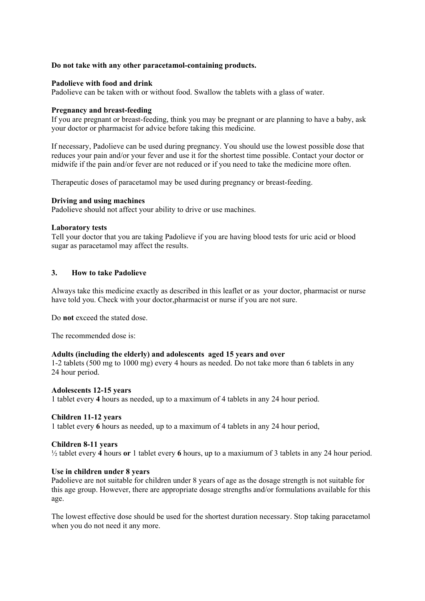### **Do not take with any other paracetamol-containing products.**

### **Padolieve with food and drink**

Padolieve can be taken with or without food. Swallow the tablets with a glass of water.

#### **Pregnancy and breast-feeding**

If you are pregnant or breast-feeding, think you may be pregnant or are planning to have a baby, ask your doctor or pharmacist for advice before taking this medicine.

If necessary, Padolieve can be used during pregnancy. You should use the lowest possible dose that reduces your pain and/or your fever and use it for the shortest time possible. Contact your doctor or midwife if the pain and/or fever are not reduced or if you need to take the medicine more often.

Therapeutic doses of paracetamol may be used during pregnancy or breast-feeding.

### **Driving and using machines**

Padolieve should not affect your ability to drive or use machines.

### **Laboratory tests**

Tell your doctor that you are taking Padolieve if you are having blood tests for uric acid or blood sugar as paracetamol may affect the results.

## **3. How to take Padolieve**

Always take this medicine exactly as described in this leaflet or as your doctor, pharmacist or nurse have told you. Check with your doctor,pharmacist or nurse if you are not sure.

Do **not** exceed the stated dose.

The recommended dose is:

#### **Adults (including the elderly) and adolescents aged 15 years and over**

1-2 tablets (500 mg to 1000 mg) every 4 hours as needed. Do not take more than 6 tablets in any 24 hour period.

#### **Adolescents 12-15 years**

1 tablet every **4** hours as needed, up to a maximum of 4 tablets in any 24 hour period.

### **Children 11-12 years**

1 tablet every **6** hours as needed, up to a maximum of 4 tablets in any 24 hour period,

#### **Children 8-11 years**

½ tablet every **4** hours **or** 1 tablet every **6** hours, up to a maxiumum of 3 tablets in any 24 hour period.

#### **Use in children under 8 years**

Padolieve are not suitable for children under 8 years of age as the dosage strength is not suitable for this age group. However, there are appropriate dosage strengths and/or formulations available for this age.

The lowest effective dose should be used for the shortest duration necessary. Stop taking paracetamol when you do not need it any more.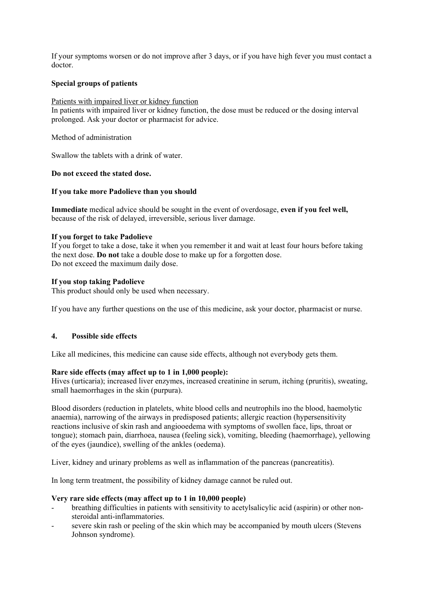If your symptoms worsen or do not improve after 3 days, or if you have high fever you must contact a doctor.

## **Special groups of patients**

### Patients with impaired liver or kidney function

In patients with impaired liver or kidney function, the dose must be reduced or the dosing interval prolonged. Ask your doctor or pharmacist for advice.

Method of administration

Swallow the tablets with a drink of water.

### **Do not exceed the stated dose.**

### **If you take more Padolieve than you should**

**Immediate** medical advice should be sought in the event of overdosage, **even if you feel well,** because of the risk of delayed, irreversible, serious liver damage.

### **If you forget to take Padolieve**

If you forget to take a dose, take it when you remember it and wait at least four hours before taking the next dose. **Do not** take a double dose to make up for a forgotten dose. Do not exceed the maximum daily dose.

### **If you stop taking Padolieve**

This product should only be used when necessary.

If you have any further questions on the use of this medicine, ask your doctor, pharmacist or nurse.

## **4. Possible side effects**

Like all medicines, this medicine can cause side effects, although not everybody gets them.

## **Rare side effects (may affect up to 1 in 1,000 people):**

Hives (urticaria); increased liver enzymes, increased creatinine in serum, itching (pruritis), sweating, small haemorrhages in the skin (purpura).

Blood disorders (reduction in platelets, white blood cells and neutrophils ino the blood, haemolytic anaemia), narrowing of the airways in predisposed patients; allergic reaction (hypersensitivity reactions inclusive of skin rash and angiooedema with symptoms of swollen face, lips, throat or tongue); stomach pain, diarrhoea, nausea (feeling sick), vomiting, bleeding (haemorrhage), yellowing of the eyes (jaundice), swelling of the ankles (oedema).

Liver, kidney and urinary problems as well as inflammation of the pancreas (pancreatitis).

In long term treatment, the possibility of kidney damage cannot be ruled out.

#### **Very rare side effects (may affect up to 1 in 10,000 people)**

- breathing difficulties in patients with sensitivity to acetylsalicylic acid (aspirin) or other nonsteroidal anti-inflammatories.
- severe skin rash or peeling of the skin which may be accompanied by mouth ulcers (Stevens Johnson syndrome).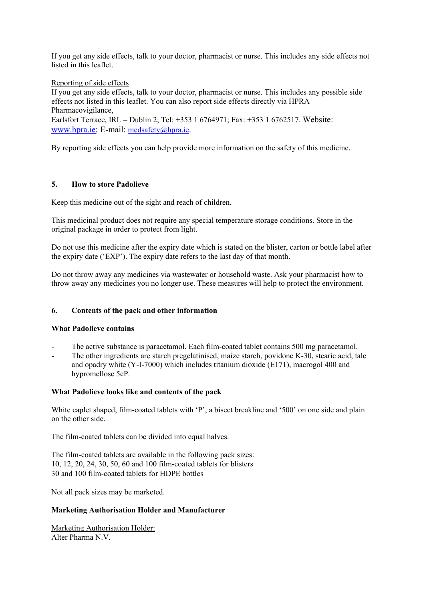If you get any side effects, talk to your doctor, pharmacist or nurse. This includes any side effects not listed in this leaflet.

Reporting of side effects

If you get any side effects, talk to your doctor, pharmacist or nurse. This includes any possible side effects not listed in this leaflet. You can also report side effects directly via HPRA Pharmacovigilance,

Earlsfort Terrace, IRL – Dublin 2; Tel: +353 1 6764971; Fax: +353 1 6762517. Website: www.hpra.ie; E-mail: medsafety@hpra.ie.

By reporting side effects you can help provide more information on the safety of this medicine.

# **5. How to store Padolieve**

Keep this medicine out of the sight and reach of children.

This medicinal product does not require any special temperature storage conditions. Store in the original package in order to protect from light.

Do not use this medicine after the expiry date which is stated on the blister, carton or bottle label after the expiry date ('EXP'). The expiry date refers to the last day of that month.

Do not throw away any medicines via wastewater or household waste. Ask your pharmacist how to throw away any medicines you no longer use. These measures will help to protect the environment.

## **6. Contents of the pack and other information**

## **What Padolieve contains**

- The active substance is paracetamol. Each film-coated tablet contains 500 mg paracetamol.
- The other ingredients are starch pregelatinised, maize starch, povidone K-30, stearic acid, talc and opadry white (Y-I-7000) which includes titanium dioxide (E171), macrogol 400 and hypromellose 5cP.

## **What Padolieve looks like and contents of the pack**

White caplet shaped, film-coated tablets with 'P', a bisect breakline and '500' on one side and plain on the other side.

The film-coated tablets can be divided into equal halves.

The film-coated tablets are available in the following pack sizes: 10, 12, 20, 24, 30, 50, 60 and 100 film-coated tablets for blisters 30 and 100 film-coated tablets for HDPE bottles

Not all pack sizes may be marketed.

## **Marketing Authorisation Holder and Manufacturer**

Marketing Authorisation Holder: Alter Pharma N.V.